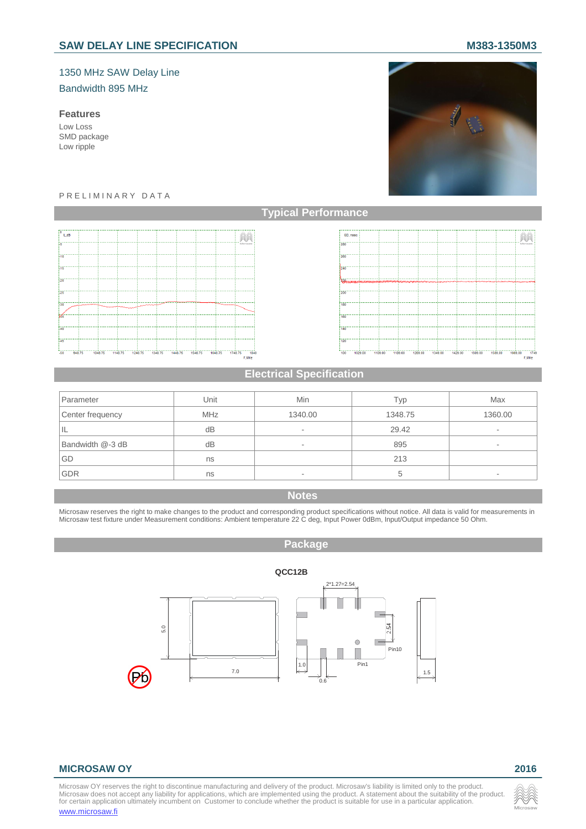# SAW DELAY LINE SPECIFICATION **M383-1350M3**

# 1350 MHz SAW Delay Line

# Bandwidth 895 MHz

## **Features**

Low Loss SMD package Low ripple



#### P R E L I M I N A R Y D A T A





## **Electrical Specification**

| Parameter        | Unit       | Min                      | Typ     | Max     |
|------------------|------------|--------------------------|---------|---------|
| Center frequency | <b>MHz</b> | 1340.00                  | 1348.75 | 1360.00 |
| ΙL               | dB         | ۰                        | 29.42   | ٠       |
| Bandwidth @-3 dB | dB         | $\overline{\phantom{a}}$ | 895     | ۰       |
| GD               | ns         |                          | 213     |         |
| <b>GDR</b>       | ns         | $\overline{\phantom{a}}$ |         |         |

#### **Notes**

Microsaw reserves the right to make changes to the product and corresponding product specifications without notice. All data is valid for measurements in<br>Microsaw test fixture under Measurement conditions: Ambient temperat

# **Package**



#### **MICROSAW OY 2016**

Microsaw OY reserves the right to discontinue manufacturing and delivery of the product. Microsaw's liability is limited only to the product.<br>Microsaw does not accept any liability for applications, which are implemented u www.microsaw.fi